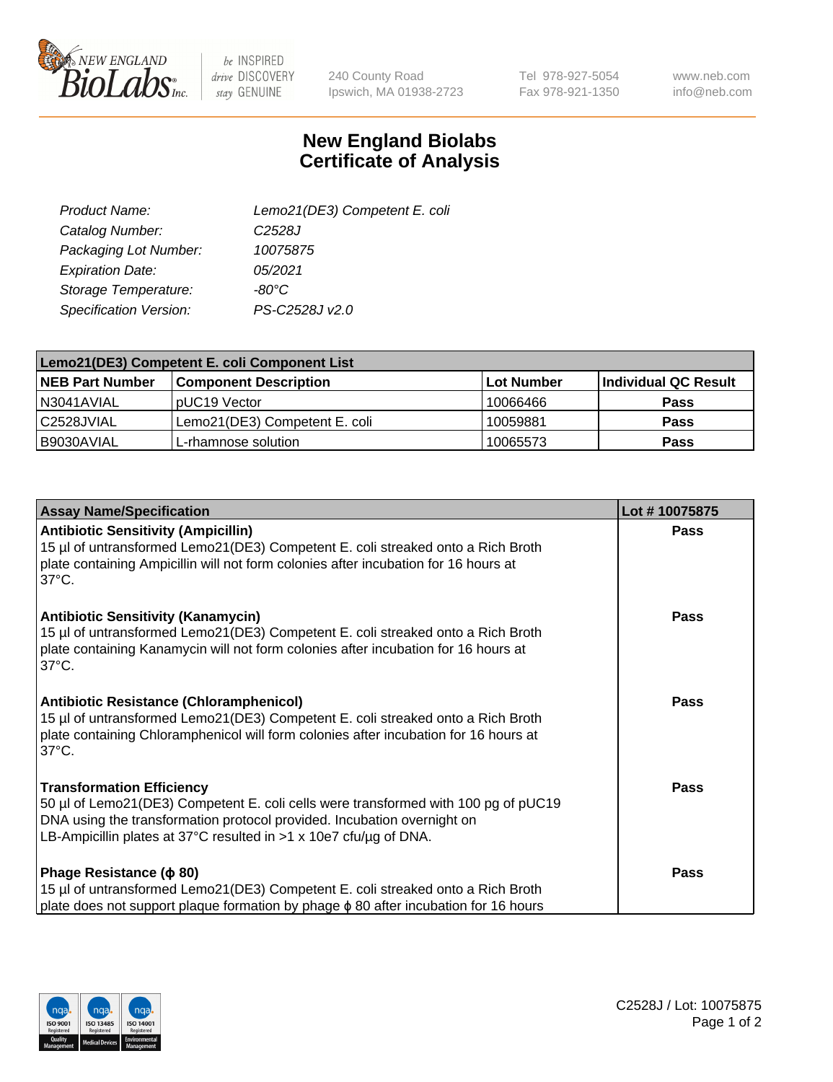

 $be$  INSPIRED drive DISCOVERY stay GENUINE

240 County Road Ipswich, MA 01938-2723 Tel 978-927-5054 Fax 978-921-1350

www.neb.com info@neb.com

## **New England Biolabs Certificate of Analysis**

| Lemo21(DE3) Competent E. coli |
|-------------------------------|
| C <sub>2528</sub> J           |
| 10075875                      |
| 05/2021                       |
| $-80^{\circ}$ C               |
| PS-C2528J v2.0                |
|                               |

| Lemo21(DE3) Competent E. coli Component List |                               |                   |                      |  |
|----------------------------------------------|-------------------------------|-------------------|----------------------|--|
| <b>NEB Part Number</b>                       | <b>Component Description</b>  | <b>Lot Number</b> | Individual QC Result |  |
| I N3041AVIAL                                 | IpUC19 Vector                 | 10066466          | Pass                 |  |
| C2528JVIAL                                   | Lemo21(DE3) Competent E. coli | 10059881          | <b>Pass</b>          |  |
| B9030AVIAL                                   | L-rhamnose solution           | 10065573          | <b>Pass</b>          |  |

| <b>Assay Name/Specification</b>                                                                                                                                                                                                                                               | Lot #10075875 |
|-------------------------------------------------------------------------------------------------------------------------------------------------------------------------------------------------------------------------------------------------------------------------------|---------------|
| <b>Antibiotic Sensitivity (Ampicillin)</b><br>15 µl of untransformed Lemo21(DE3) Competent E. coli streaked onto a Rich Broth<br>plate containing Ampicillin will not form colonies after incubation for 16 hours at<br>$37^{\circ}$ C.                                       | <b>Pass</b>   |
| <b>Antibiotic Sensitivity (Kanamycin)</b><br>15 µl of untransformed Lemo21(DE3) Competent E. coli streaked onto a Rich Broth<br>plate containing Kanamycin will not form colonies after incubation for 16 hours at<br>$37^{\circ}$ C.                                         | Pass          |
| <b>Antibiotic Resistance (Chloramphenicol)</b><br>15 µl of untransformed Lemo21(DE3) Competent E. coli streaked onto a Rich Broth<br>plate containing Chloramphenicol will form colonies after incubation for 16 hours at<br>$37^{\circ}$ C.                                  | <b>Pass</b>   |
| <b>Transformation Efficiency</b><br>50 µl of Lemo21(DE3) Competent E. coli cells were transformed with 100 pg of pUC19<br>DNA using the transformation protocol provided. Incubation overnight on<br>LB-Ampicillin plates at 37°C resulted in $>1 \times 10e7$ cfu/ug of DNA. | <b>Pass</b>   |
| Phage Resistance ( $\phi$ 80)<br>15 µl of untransformed Lemo21(DE3) Competent E. coli streaked onto a Rich Broth<br>plate does not support plaque formation by phage φ 80 after incubation for 16 hours                                                                       | <b>Pass</b>   |